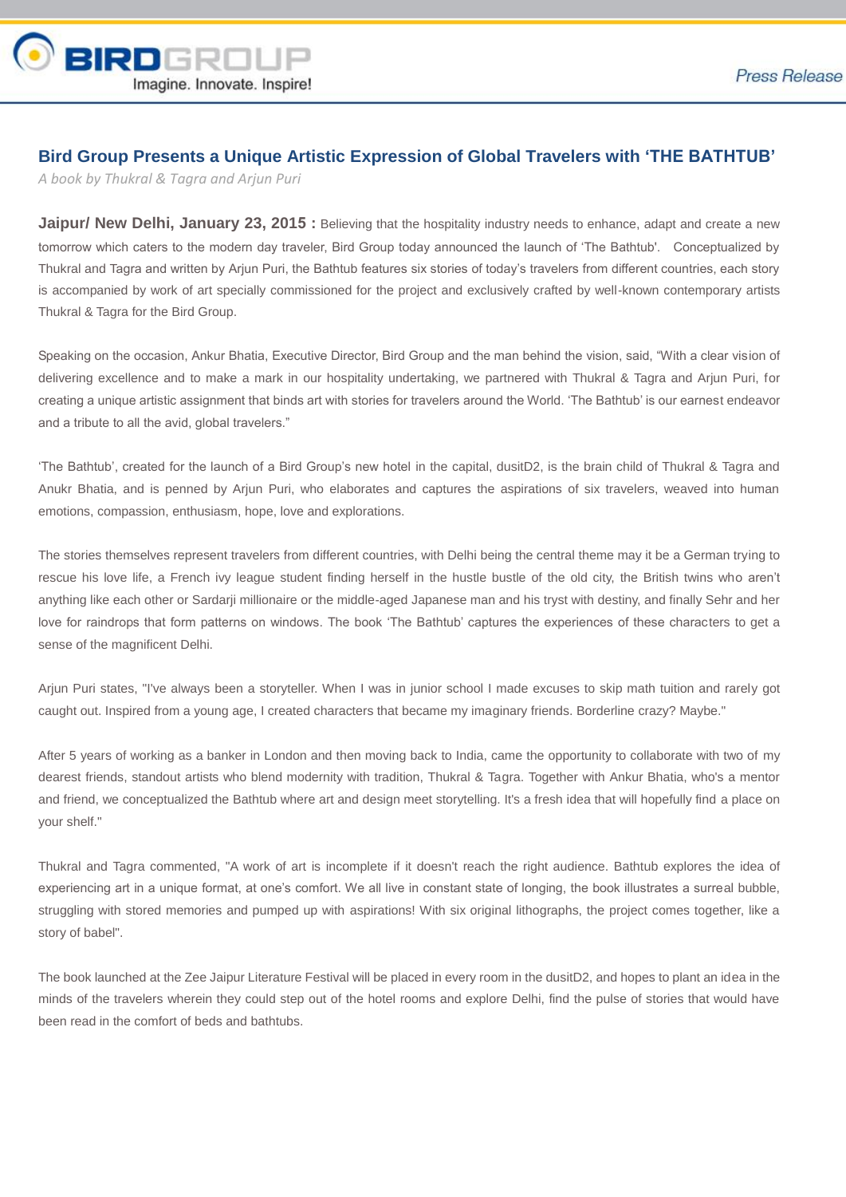

## **Bird Group Presents a Unique Artistic Expression of Global Travelers with 'THE BATHTUB'**

*A book by Thukral & Tagra and Arjun Puri*

**Jaipur/ New Delhi, January 23, 2015 :** Believing that the hospitality industry needs to enhance, adapt and create a new tomorrow which caters to the modern day traveler, Bird Group today announced the launch of 'The Bathtub'. Conceptualized by Thukral and Tagra and written by Arjun Puri, the Bathtub features six stories of today's travelers from different countries, each story is accompanied by work of art specially commissioned for the project and exclusively crafted by well-known contemporary artists Thukral & Tagra for the Bird Group.

Speaking on the occasion, Ankur Bhatia, Executive Director, Bird Group and the man behind the vision, said, "With a clear vision of delivering excellence and to make a mark in our hospitality undertaking, we partnered with Thukral & Tagra and Arjun Puri, for creating a unique artistic assignment that binds art with stories for travelers around the World. 'The Bathtub' is our earnest endeavor and a tribute to all the avid, global travelers."

'The Bathtub', created for the launch of a Bird Group's new hotel in the capital, dusitD2, is the brain child of Thukral & Tagra and Anukr Bhatia, and is penned by Arjun Puri, who elaborates and captures the aspirations of six travelers, weaved into human emotions, compassion, enthusiasm, hope, love and explorations.

The stories themselves represent travelers from different countries, with Delhi being the central theme may it be a German trying to rescue his love life, a French ivy league student finding herself in the hustle bustle of the old city, the British twins who aren't anything like each other or Sardarji millionaire or the middle-aged Japanese man and his tryst with destiny, and finally Sehr and her love for raindrops that form patterns on windows. The book 'The Bathtub' captures the experiences of these characters to get a sense of the magnificent Delhi.

Arjun Puri states, "I've always been a storyteller. When I was in junior school I made excuses to skip math tuition and rarely got caught out. Inspired from a young age, I created characters that became my imaginary friends. Borderline crazy? Maybe."

After 5 years of working as a banker in London and then moving back to India, came the opportunity to collaborate with two of my dearest friends, standout artists who blend modernity with tradition, Thukral & Tagra. Together with Ankur Bhatia, who's a mentor and friend, we conceptualized the Bathtub where art and design meet storytelling. It's a fresh idea that will hopefully find a place on your shelf."

Thukral and Tagra commented, "A work of art is incomplete if it doesn't reach the right audience. Bathtub explores the idea of experiencing art in a unique format, at one's comfort. We all live in constant state of longing, the book illustrates a surreal bubble, struggling with stored memories and pumped up with aspirations! With six original lithographs, the project comes together, like a story of babel".

The book launched at the Zee Jaipur Literature Festival will be placed in every room in the dusitD2, and hopes to plant an idea in the minds of the travelers wherein they could step out of the hotel rooms and explore Delhi, find the pulse of stories that would have been read in the comfort of beds and bathtubs.